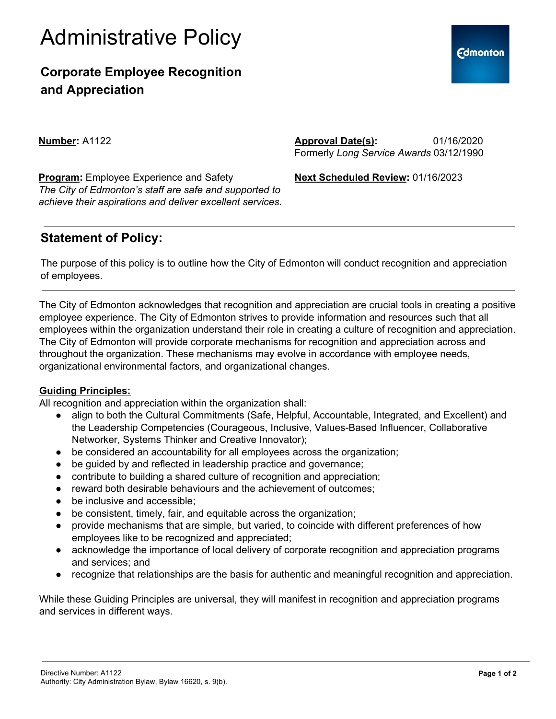

### **Corporate Employee Recognition and Appreciation**

**Number:** A1122

**Approval Date(s):** 01/16/2020 Formerly *Long Service Awards* 03/12/1990

**Next Scheduled Review:** 01/16/2023

**Program:** Employee Experience and Safety *The City of Edmonton's staff are safe and supported to achieve their aspirations and deliver excellent services.*

### **Statement of Policy:**

The purpose of this policy is to outline how the City of Edmonton will conduct recognition and appreciation of employees.

The City of Edmonton acknowledges that recognition and appreciation are crucial tools in creating a positive employee experience. The City of Edmonton strives to provide information and resources such that all employees within the organization understand their role in creating a culture of recognition and appreciation. The City of Edmonton will provide corporate mechanisms for recognition and appreciation across and throughout the organization. These mechanisms may evolve in accordance with employee needs, organizational environmental factors, and organizational changes.

### **Guiding Principles:**

All recognition and appreciation within the organization shall:

- align to both the Cultural Commitments (Safe, Helpful, Accountable, Integrated, and Excellent) and the Leadership Competencies (Courageous, Inclusive, Values-Based Influencer, Collaborative Networker, Systems Thinker and Creative Innovator);
- be considered an accountability for all employees across the organization;
- be guided by and reflected in leadership practice and governance;
- contribute to building a shared culture of recognition and appreciation;
- reward both desirable behaviours and the achievement of outcomes;
- be inclusive and accessible;
- be consistent, timely, fair, and equitable across the organization;
- provide mechanisms that are simple, but varied, to coincide with different preferences of how employees like to be recognized and appreciated;
- acknowledge the importance of local delivery of corporate recognition and appreciation programs and services; and
- recognize that relationships are the basis for authentic and meaningful recognition and appreciation.

While these Guiding Principles are universal, they will manifest in recognition and appreciation programs and services in different ways.